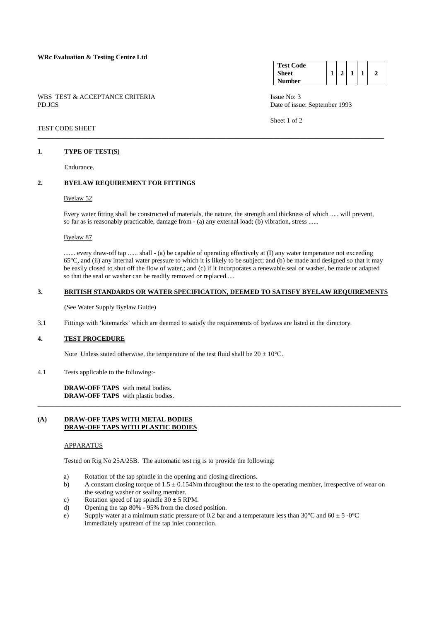### WBS TEST & ACCEPTANCE CRITERIA ISSUE No: 3 PD.JCS Date of issue: September 1993

#### **Test Code Sheet Number**   $1 \mid 2 \mid 1 \mid 1 \mid 2$

Sheet 1 of 2

### TEST CODE SHEET \_\_\_\_\_\_\_\_\_\_\_\_\_\_\_\_\_\_\_\_\_\_\_\_\_\_\_\_\_\_\_\_\_\_\_\_\_\_\_\_\_\_\_\_\_\_\_\_\_\_\_\_\_\_\_\_\_\_\_\_\_\_\_\_\_\_\_\_\_\_\_\_\_\_\_\_\_\_\_\_\_\_\_\_\_\_\_\_\_\_\_\_\_\_\_\_\_\_\_\_\_\_\_

# **1. TYPE OF TEST(S)**

Endurance.

# **2. BYELAW REQUIREMENT FOR FITTINGS**

# Byelaw 52

 Every water fitting shall be constructed of materials, the nature, the strength and thickness of which ..... will prevent, so far as is reasonably practicable, damage from - (a) any external load; (b) vibration, stress ......

Byelaw 87

....... every draw-off tap ...... shall - (a) be capable of operating effectively at (I) any water temperature not exceeding 65°C, and (ii) any internal water pressure to which it is likely to be subject; and (b) be made and designed so that it may be easily closed to shut off the flow of water,; and (c) if it incorporates a renewable seal or washer, be made or adapted so that the seal or washer can be readily removed or replaced.....

### **3. BRITISH STANDARDS OR WATER SPECIFICATION, DEEMED TO SATISFY BYELAW REQUIREMENTS**

(See Water Supply Byelaw Guide)

3.1 Fittings with 'kitemarks' which are deemed to satisfy the requirements of byelaws are listed in the directory.

# **4. TEST PROCEDURE**

Note Unless stated otherwise, the temperature of the test fluid shall be  $20 \pm 10^{\circ}$ C.

4.1 Tests applicable to the following:-

 **DRAW-OFF TAPS** with metal bodies. **DRAW-OFF TAPS** with plastic bodies.

## **(A) DRAW-OFF TAPS WITH METAL BODIES DRAW-OFF TAPS WITH PLASTIC BODIES**

# APPARATUS

Tested on Rig No 25A/25B. The automatic test rig is to provide the following:

- a) Rotation of the tap spindle in the opening and closing directions.
- b) A constant closing torque of  $1.5 \pm 0.154$ Nm throughout the test to the operating member, irrespective of wear on the seating washer or sealing member.

\_\_\_\_\_\_\_\_\_\_\_\_\_\_\_\_\_\_\_\_\_\_\_\_\_\_\_\_\_\_\_\_\_\_\_\_\_\_\_\_\_\_\_\_\_\_\_\_\_\_\_\_\_\_\_\_\_\_\_\_\_\_\_\_\_\_\_\_\_\_\_\_\_\_\_\_\_\_\_\_\_\_\_\_\_\_\_\_\_\_\_\_\_\_\_\_\_\_\_\_\_\_\_\_\_\_\_\_

- c) Rotation speed of tap spindle  $30 \pm 5$  RPM.
- d) Opening the tap 80% 95% from the closed position.
- e) Supply water at a minimum static pressure of 0.2 bar and a temperature less than  $30^{\circ}$ C and  $60 \pm 5$  -0 $^{\circ}$ C immediately upstream of the tap inlet connection.